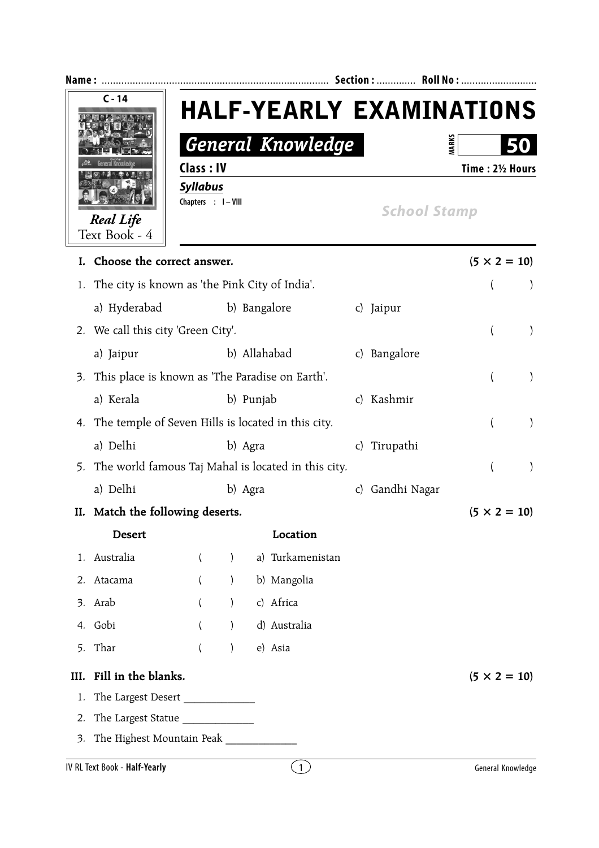| Name:                             | <b>Section:</b><br>Roll No :                      |                                 |
|-----------------------------------|---------------------------------------------------|---------------------------------|
| $C - 14$                          |                                                   | <b>HALF-YEARLY EXAMINATIONS</b> |
|                                   | General Knowledge                                 | <b>MARK</b><br>50               |
| <b>Real Life</b><br>Text Book - 4 | Class: IV                                         | Time: 21/2 Hours                |
|                                   | <b>Syllabus</b><br>Chapters : I-VIII              | <b>School Stamp</b>             |
| I. Choose the correct answer.     |                                                   | $(5 \times 2 = 10)$             |
|                                   | 1. The city is known as 'the Pink City of India'. |                                 |
| a) Hyderabad                      | b) Bangalore                                      | Jaipur                          |

- 2. We call this city 'Green City'. ( )
- a) Jaipur b) Allahabad c) Bangalore 3. This place is known as 'The Paradise on Earth'. ( ) a) Kerala b) Punjab c) Kashmir 4. The temple of Seven Hills is located in this city. ( )
- a) Delhi b) Agra c) Tirupathi 5. The world famous Taj Mahal is located in this city.  $($
- a) Delhi b) Agra c) Gandhi Nagar
- **II.** Match the following deserts.  $(5 \times 2 = 10)$ 
	- **Desert** Location
- 1. Australia ( ) a) Turkamenistan 2. Atacama ( ) b) Mangolia 3. Arab ( ) c) Africa 4. Gobi ( ) d) Australia
- 5. Thar ( ) e) Asia
- **III.** Fill in the blanks.  $(5 \times 2 = 10)$ 
	- 1. The Largest Desert \_\_\_\_\_\_\_\_\_\_\_\_\_
	- 2. The Largest Statue \_\_\_\_\_\_\_\_\_\_\_\_\_
	- 3. The Highest Mountain Peak \_\_\_\_\_\_\_\_\_\_\_\_\_